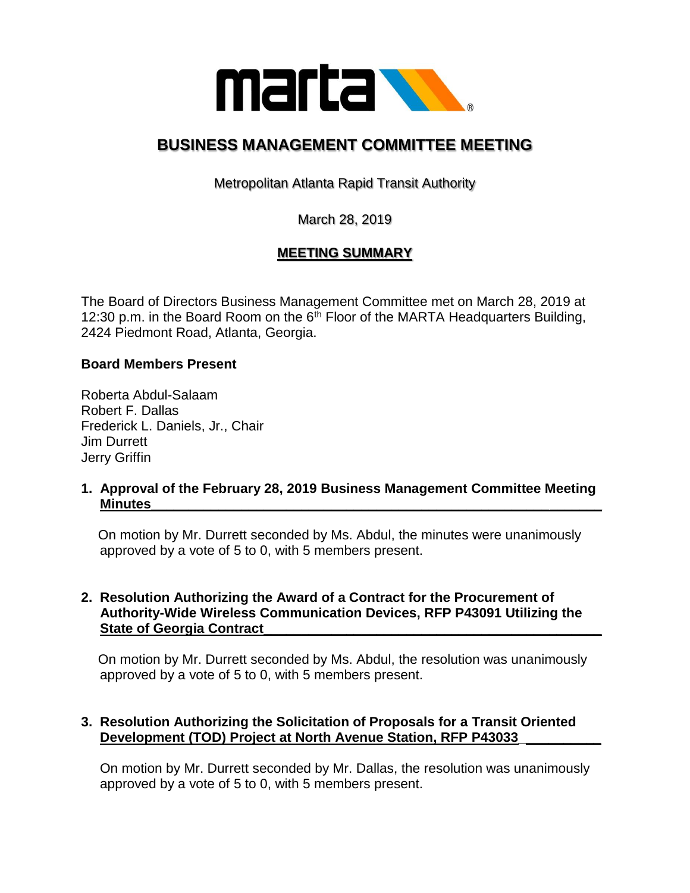

# **BUSINESS MANAGEMENT COMMITTEE MEETING**

Metropolitan Atlanta Rapid Transit Authority

March 28, 2019

# **MEETING SUMMARY**

The Board of Directors Business Management Committee met on March 28, 2019 at 12:30 p.m. in the Board Room on the  $6<sup>th</sup>$  Floor of the MARTA Headquarters Building, 2424 Piedmont Road, Atlanta, Georgia.

#### **Board Members Present**

Roberta Abdul-Salaam Robert F. Dallas Frederick L. Daniels, Jr., Chair Jim Durrett Jerry Griffin

**1. Approval of the February 28, 2019 Business Management Committee Meeting Minutes\_\_\_\_\_\_\_\_\_\_\_\_\_\_\_\_\_\_\_\_\_\_\_\_\_\_\_\_\_\_\_\_\_\_\_\_\_\_\_\_\_\_\_\_\_\_\_\_\_\_\_\_\_\_\_\_\_\_\_\_**

 On motion by Mr. Durrett seconded by Ms. Abdul, the minutes were unanimously approved by a vote of 5 to 0, with 5 members present.

#### **2. Resolution Authorizing the Award of a Contract for the Procurement of Authority-Wide Wireless Communication Devices, RFP P43091 Utilizing the State of Georgia Contract**

 On motion by Mr. Durrett seconded by Ms. Abdul, the resolution was unanimously approved by a vote of 5 to 0, with 5 members present.

### **3. Resolution Authorizing the Solicitation of Proposals for a Transit Oriented Development (TOD) Project at North Avenue Station, RFP P43033\_\_\_\_\_\_\_\_\_\_\_**

 On motion by Mr. Durrett seconded by Mr. Dallas, the resolution was unanimously approved by a vote of 5 to 0, with 5 members present.